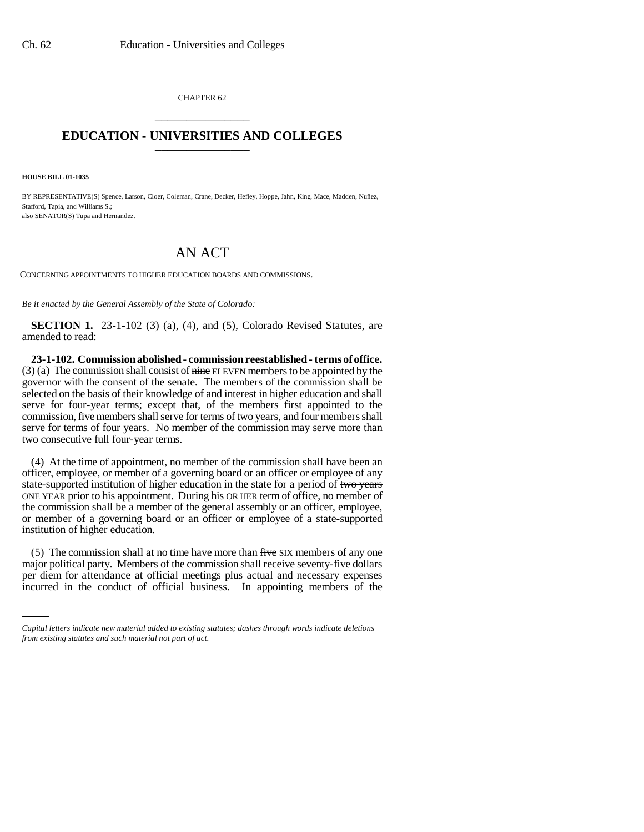CHAPTER 62 \_\_\_\_\_\_\_\_\_\_\_\_\_\_\_

## **EDUCATION - UNIVERSITIES AND COLLEGES** \_\_\_\_\_\_\_\_\_\_\_\_\_\_\_

**HOUSE BILL 01-1035**

BY REPRESENTATIVE(S) Spence, Larson, Cloer, Coleman, Crane, Decker, Hefley, Hoppe, Jahn, King, Mace, Madden, Nuñez, Stafford, Tapia, and Williams S.; also SENATOR(S) Tupa and Hernandez.

## AN ACT

CONCERNING APPOINTMENTS TO HIGHER EDUCATION BOARDS AND COMMISSIONS.

*Be it enacted by the General Assembly of the State of Colorado:*

**SECTION 1.** 23-1-102 (3) (a), (4), and (5), Colorado Revised Statutes, are amended to read:

**23-1-102. Commission abolished - commission reestablished - terms of office.**  $(3)$  (a) The commission shall consist of nine ELEVEN members to be appointed by the governor with the consent of the senate. The members of the commission shall be selected on the basis of their knowledge of and interest in higher education and shall serve for four-year terms; except that, of the members first appointed to the commission, five members shall serve for terms of two years, and four members shall serve for terms of four years. No member of the commission may serve more than two consecutive full four-year terms.

(4) At the time of appointment, no member of the commission shall have been an officer, employee, or member of a governing board or an officer or employee of any state-supported institution of higher education in the state for a period of two years ONE YEAR prior to his appointment. During his OR HER term of office, no member of the commission shall be a member of the general assembly or an officer, employee, or member of a governing board or an officer or employee of a state-supported institution of higher education.

major political party. Members of the commission shall receive seventy-five dollars (5) The commission shall at no time have more than five SIX members of any one per diem for attendance at official meetings plus actual and necessary expenses incurred in the conduct of official business. In appointing members of the

*Capital letters indicate new material added to existing statutes; dashes through words indicate deletions from existing statutes and such material not part of act.*